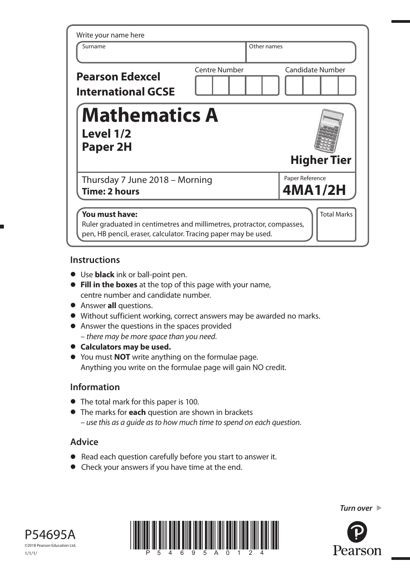| Write your name here<br>Surname                                                                                                                            |                      | Other names                |  |  |
|------------------------------------------------------------------------------------------------------------------------------------------------------------|----------------------|----------------------------|--|--|
| <b>Pearson Edexcel</b><br><b>International GCSE</b>                                                                                                        | <b>Centre Number</b> | <b>Candidate Number</b>    |  |  |
| <b>Mathematics A</b><br>Level 1/2<br>Paper 2H                                                                                                              |                      | <b>Higher Tier</b>         |  |  |
| Thursday 7 June 2018 - Morning<br>Time: 2 hours                                                                                                            |                      | Paper Reference<br>4MA1/2H |  |  |
| You must have:<br>Ruler graduated in centimetres and millimetres, protractor, compasses,<br>pen, HB pencil, eraser, calculator. Tracing paper may be used. |                      | <b>Total Marks</b>         |  |  |

### **Instructions**

- **•** Use **black** ink or ball-point pen.
- **• Fill in the boxes** at the top of this page with your name, centre number and candidate number.
- **•** Answer **all** questions.
- **•** Answer **all** questions.<br>• Without sufficient working, correct answers may be awarded no marks.
- Without sufficient working, correct answers m<br>• Answer the questions in the spaces provided – there may be more space than you need.
- **• Calculators may be used.**
- **•** You must **NOT** write anything on the formulae page. Anything you write on the formulae page will gain NO credit.

## **Information**

- **•** The total mark for this paper is 100.
- **•** The marks for **each** question are shown in brackets – use this as a guide as to how much time to spend on each question.

# **Advice**

- **•** Read each question carefully before you start to answer it.
- **•** Check your answers if you have time at the end.





*Turn over* 

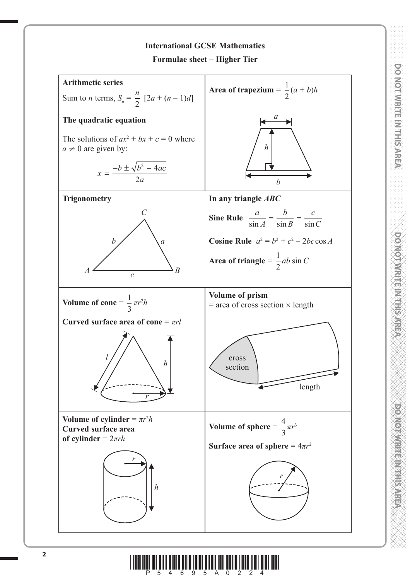

**DO NOT WRITE IN THIS AREA DO NOT WRITE IN THIS AREA DO NOT WRITE IN THIS AREA DO NOT WRITE IN THIS AREA DO NOT WRITE IN THIS AREA DO NOT WRITE IN THIS AREA DO NOT WRITE IN THIS AREA DO NOT WRITE IN THIS AREA DO NOT WRITE** 

**DO NOT WRITE IN THE PAREA** 

**PONOINFRITE IN THE IS ALLEY** 

**DO NOT WRITE IN THIS AREA** 

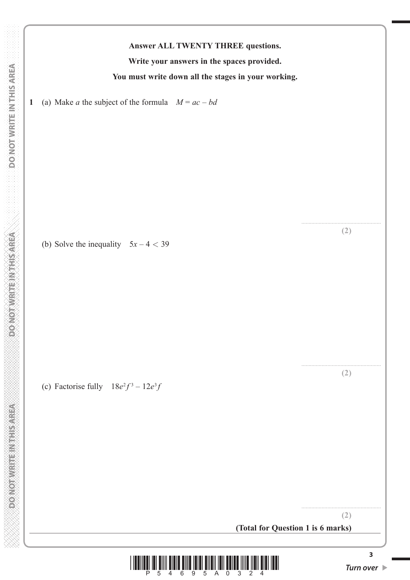**CONCERT CONTROLLER CONCORD** 

**Answer ALL TWENTY THREE questions.**

**Write your answers in the spaces provided.**

**You must write down all the stages in your working.**

**1** (a) Make *a* the subject of the formula *M* = *ac* – *bd*

(b) Solve the inequality  $5x - 4 < 39$ 

(c) Factorise fully  $18e^2f^3 - 12e^3f$ 

**(Total for Question 1 is 6 marks)**



....................................................... **(2)**

....................................................... **(2)**

....................................................... **(2)**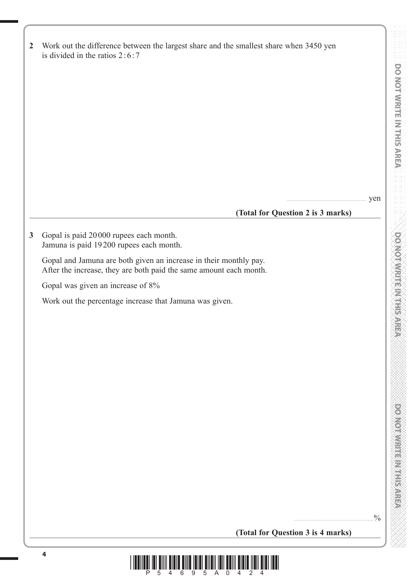| <b>DO NOT METERING WATER AREA MERICULAR CONSULTER THE INTERNATIONAL CONSULTER INTERNATIONAL CONSULTER IN THE INTERNATION</b> |   |           |  |  |
|------------------------------------------------------------------------------------------------------------------------------|---|-----------|--|--|
|                                                                                                                              |   |           |  |  |
|                                                                                                                              |   |           |  |  |
|                                                                                                                              |   |           |  |  |
|                                                                                                                              |   |           |  |  |
|                                                                                                                              |   |           |  |  |
|                                                                                                                              |   |           |  |  |
|                                                                                                                              |   |           |  |  |
|                                                                                                                              |   |           |  |  |
|                                                                                                                              |   |           |  |  |
|                                                                                                                              |   |           |  |  |
|                                                                                                                              |   |           |  |  |
|                                                                                                                              |   |           |  |  |
|                                                                                                                              |   |           |  |  |
|                                                                                                                              |   |           |  |  |
|                                                                                                                              |   |           |  |  |
|                                                                                                                              |   |           |  |  |
|                                                                                                                              |   |           |  |  |
| ğ                                                                                                                            |   |           |  |  |
|                                                                                                                              |   |           |  |  |
| Q                                                                                                                            |   |           |  |  |
|                                                                                                                              |   |           |  |  |
|                                                                                                                              |   | X         |  |  |
|                                                                                                                              |   |           |  |  |
| Ó                                                                                                                            |   |           |  |  |
|                                                                                                                              |   | ₩         |  |  |
|                                                                                                                              |   |           |  |  |
|                                                                                                                              |   | É         |  |  |
|                                                                                                                              |   |           |  |  |
|                                                                                                                              |   | ÷,        |  |  |
|                                                                                                                              |   | ₩         |  |  |
|                                                                                                                              |   |           |  |  |
| 竸                                                                                                                            |   |           |  |  |
|                                                                                                                              |   |           |  |  |
|                                                                                                                              |   | Ê         |  |  |
| è                                                                                                                            | ÷ |           |  |  |
|                                                                                                                              |   |           |  |  |
|                                                                                                                              |   | 黨         |  |  |
|                                                                                                                              |   |           |  |  |
| $\vec{a}$                                                                                                                    |   |           |  |  |
|                                                                                                                              |   |           |  |  |
| I.<br>Í                                                                                                                      |   |           |  |  |
|                                                                                                                              |   | ž,        |  |  |
|                                                                                                                              |   | id.<br>Ĩ. |  |  |

| $\overline{2}$ | Work out the difference between the largest share and the smallest share when 3450 yen<br>is divided in the ratios $2:6:7$                                                                                                              |
|----------------|-----------------------------------------------------------------------------------------------------------------------------------------------------------------------------------------------------------------------------------------|
| $\mathbf{3}$   | yen<br>(Total for Question 2 is 3 marks)<br>Gopal is paid 20000 rupees each month.<br>Jamuna is paid 19200 rupees each month.                                                                                                           |
|                | Gopal and Jamuna are both given an increase in their monthly pay.<br>After the increase, they are both paid the same amount each month.<br>Gopal was given an increase of 8%<br>Work out the percentage increase that Jamuna was given. |
|                |                                                                                                                                                                                                                                         |

**(Total for Question 3 is 4 marks)**

.......................................................%

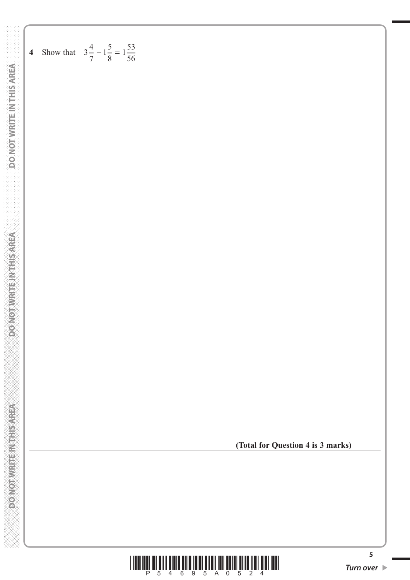**<sup>4</sup>** Show that <sup>3</sup> <sup>4</sup> 7  **DO NOT WRITE IN THIS AREA DO NOT WRITE IN THIS AREA DO NOT WRITE IN THIS AREA**

**DONOINVALLENTISTAREA** 

**RESIDENT RESIDENCE** 

 $1 - \frac{5}{1}$ 8

 $-1\frac{5}{8} = 1\frac{55}{56}$ 

 $1\frac{53}{1}$ 

**(Total for Question 4 is 3 marks)**

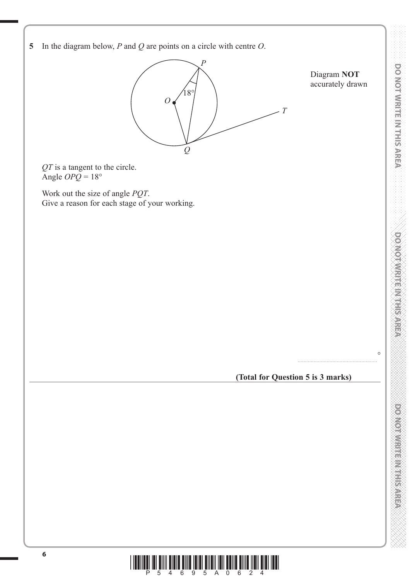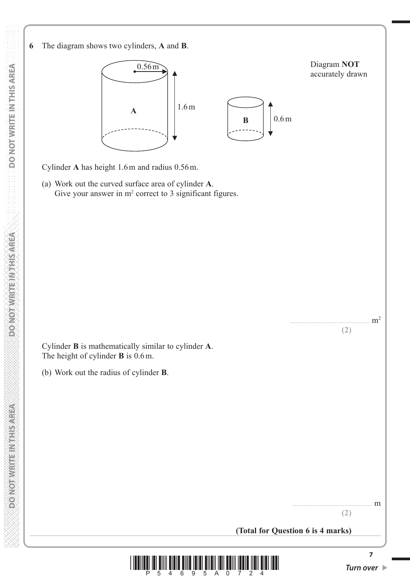**6** The diagram shows two cylinders, **A** and **B**.



Cylinder **A** has height 1.6 m and radius 0.56 m.

 (a) Work out the curved surface area of cylinder **A**. Give your answer in  $m<sup>2</sup>$  correct to 3 significant figures.

 Cylinder **B** is mathematically similar to cylinder **A**. The height of cylinder **B** is 0.6 m.

(b) Work out the radius of cylinder **B**.

....................................................... m **(2)**

....................................................... m2

**(2)**

**(Total for Question 6 is 4 marks)**



**PONOTHER ETHERNOLOGIC**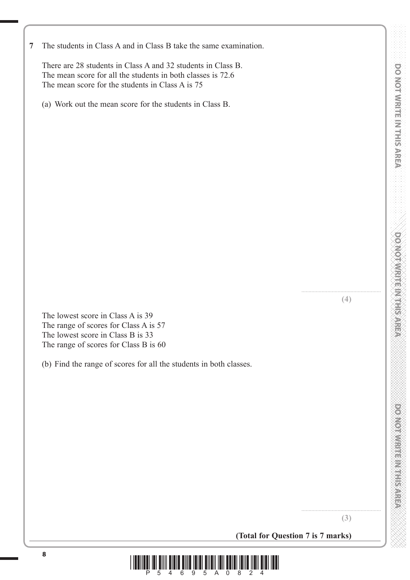There are 28 students in Class A and 32 students in Class B. The mean score for all the students in both classes is 72.6 The mean score for the students in Class A is 75

(a) Work out the mean score for the students in Class B.

**(4)**

 The lowest score in Class A is 39 The range of scores for Class A is 57 The lowest score in Class B is 33 The range of scores for Class B is 60

(b) Find the range of scores for all the students in both classes.

**DOMOTWRITE IN THIS AREA** 

.......................................................

**(3)**

.......................................................

**(Total for Question 7 is 7 marks)**

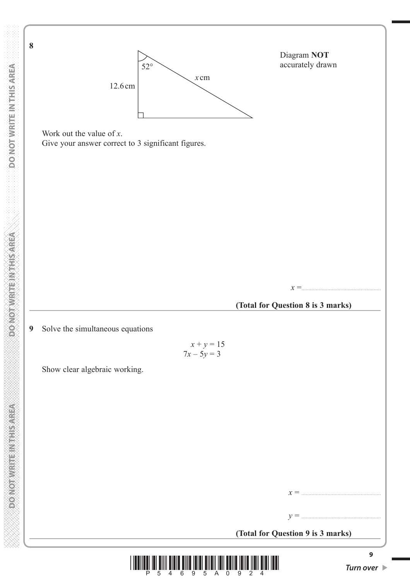

Diagram **NOT** accurately drawn

 Work out the value of *x*. Give your answer correct to 3 significant figures.

*x* =.......................................................

## **(Total for Question 8 is 3 marks)**

**9** Solve the simultaneous equations

 **DO NOT WRITE IN THIS AREA DO NOT WRITE IN THIS AREA DO NOT WRITE IN THIS AREA DO NOT WRITE IN THIS AREA DO NOT** 

**CONCERT CONTROLLER CONCORD** 

**DONOT WRITE NATHS AREA** 

**8**

DO NOT WRITE IN THIS AREA

$$
x + y = 15
$$
  

$$
7x - 5y = 3
$$

Show clear algebraic working.

| (Total for Question 9 is 3 marks) |
|-----------------------------------|

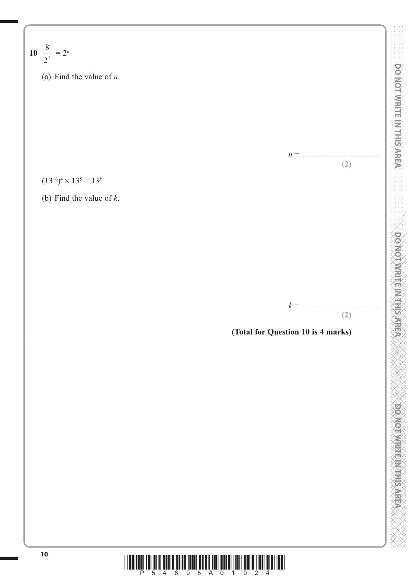**DO NOT WRITE IN THIS AREA DO NOT WRITE IN THIS AREA DO NOT WRITE IN THIS AREA** 8 **10** 27 = 2*<sup>n</sup>* (a) Find the value of *n*. *n* = ....................................................... **(2)** (13–6)4× 135 = 13*<sup>k</sup>* (b) Find the value of *k*. *k* = ....................................................... **(2) (Total for Question 10 is 4 marks)**

**<sup>10</sup>** \*P54695A01024\*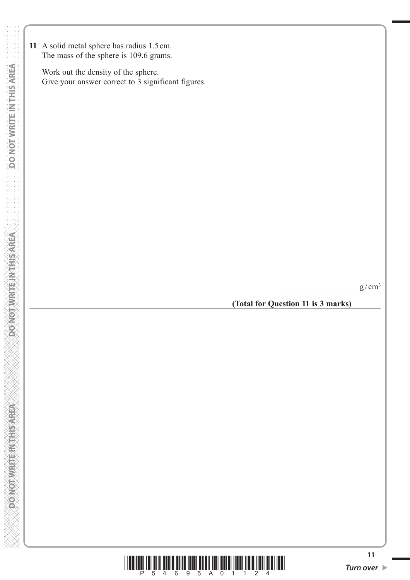**11** A solid metal sphere has radius 1.5 cm. The mass of the sphere is 109.6 grams.

 Work out the density of the sphere. Give your answer correct to 3 significant figures.

....................................................... g / cm3

**(Total for Question 11 is 3 marks)**

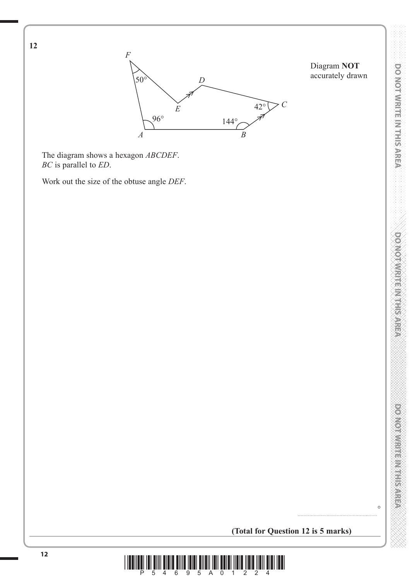

Diagram **NOT** accurately drawn

 The diagram shows a hexagon *ABCDEF*. *BC* is parallel to *ED*.

**12**

Work out the size of the obtuse angle *DEF*.

**DOMOTIVE IN THE REFER** 

**DO NOT WRITE IN THIS AREA** 

 $\circ$ 

**(Total for Question 12 is 5 marks)**

.......................................................

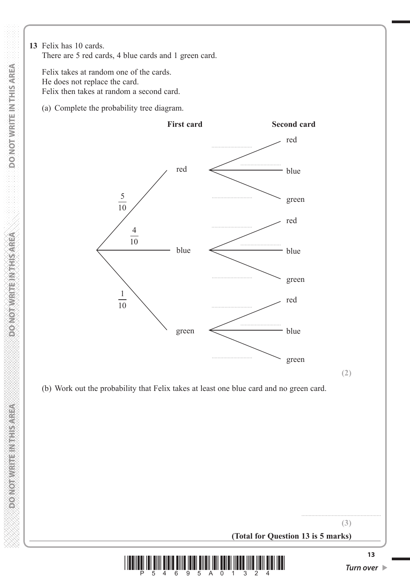**13** Felix has 10 cards. There are 5 red cards, 4 blue cards and 1 green card.

 Felix takes at random one of the cards. He does not replace the card. Felix then takes at random a second card.

(a) Complete the probability tree diagram.



(b) Work out the probability that Felix takes at least one blue card and no green card.

**(Total for Question 13 is 5 marks)**



....................................................... **(3)**

**DO NOT WRITE IN THIS AREA**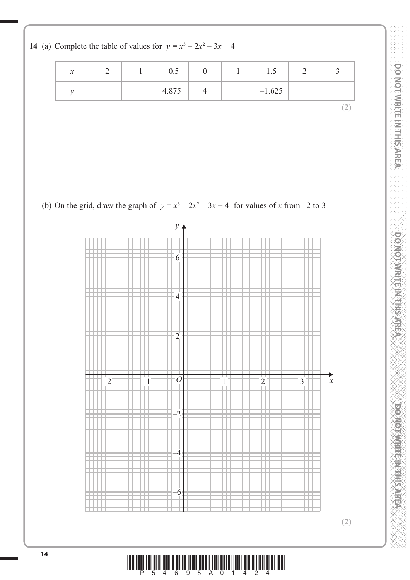**14** (a) Complete the table of values for  $y = x^3 - 2x^2 - 3x + 4$ 

| $\mathcal{X}$ | $-\angle$ | $-1$ | $-0.5$ |  | 1.5      |   |
|---------------|-----------|------|--------|--|----------|---|
|               |           |      | 4.875  |  | $-1.625$ |   |
|               |           |      |        |  |          | ∸ |

(b) On the grid, draw the graph of  $y = x^3 - 2x^2 - 3x + 4$  for values of *x* from -2 to 3

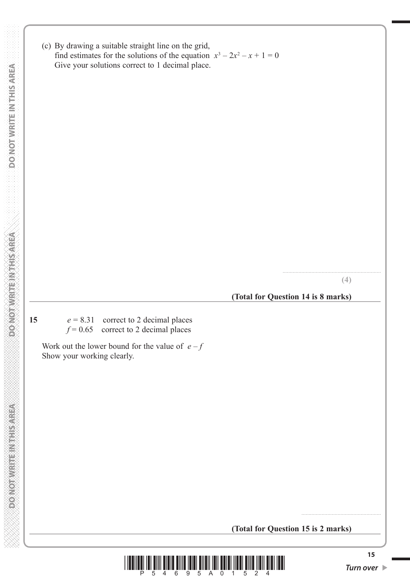**DO NOT WRITE IN THIS AREA DO NOT WRITE IN THIS AREA DO NOT WRITE IN THIS AREA DO NOT WRITE IN THIS AREA DO NOT WRITE IN THIS AREA DO NOT DONOT WRITE IN THIS AREA**   (c) By drawing a suitable straight line on the grid, find estimates for the solutions of the equation  $x^3 - 2x^2 - x + 1 = 0$ Give your solutions correct to 1 decimal place.

**(4)**

....................................................................

**(Total for Question 14 is 8 marks)**

**DONORWRITE INSTRUCTION** 

**15**  $e = 8.31$  correct to 2 decimal places  $f = 0.65$  correct to 2 decimal places

Work out the lower bound for the value of  $e - f$ Show your working clearly.

**(Total for Question 15 is 2 marks)**



.......................................................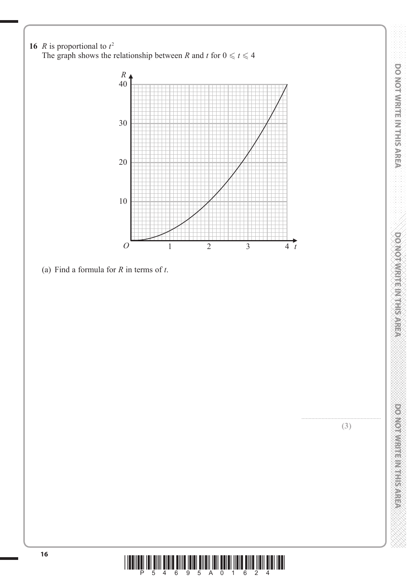

**<sup>16</sup>** \*P54695A01624\*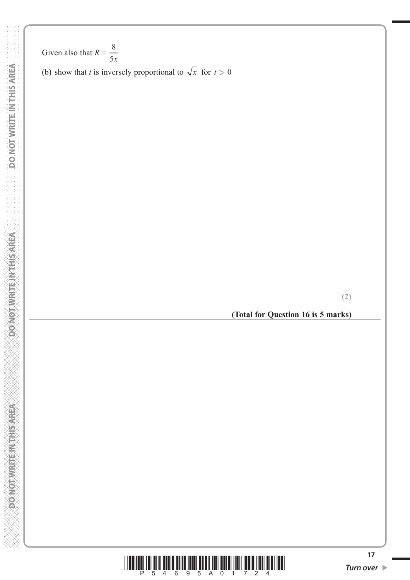**DO NOT WRITE! NITHS AREA** 

Given also that  $R =$ 8 5*x*

(b) show that *t* is inversely proportional to  $\sqrt{x}$  for  $t > 0$ 

**(2)**

**(Total for Question 16 is 5 marks)**

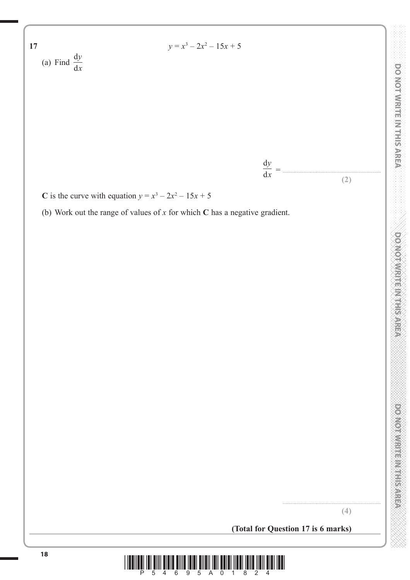

**C** is the curve with equation  $y = x^3 - 2x^2 - 15x + 5$ 

(b) Work out the range of values of *x* for which **C** has a negative gradient.

**(4)**

....................................................................

**DO NOT WRITE IN THIS AREA DO NOT WRITE IN THIS AREA DO NOT WRITE IN THIS AREA DO NOT WRITE IN THIS AREA DO NOT WRITE IN THIS AREA DO NOT WRITE IN THIS AREA DO NOT WRITE IN THIS AREA DO NOT WRITE IN THIS AREA DO NOT WRITE** 

**DO NOT WRITE IN THIS AREA** 

**POSSO MINIMUM PROPER** 

DO NOT WRITE IN THIS AREA

**(Total for Question 17 is 6 marks)**

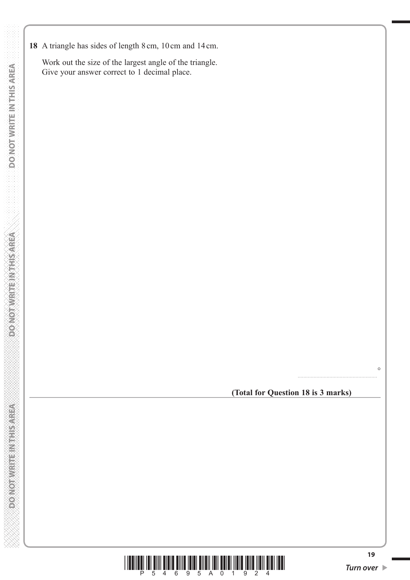**18** A triangle has sides of length 8 cm, 10 cm and 14 cm.

 Work out the size of the largest angle of the triangle. Give your answer correct to 1 decimal place.

**(Total for Question 18 is 3 marks)**

.......................................................

 $\circ$ 

**DOMOTIVRITE NITHSAREA** 

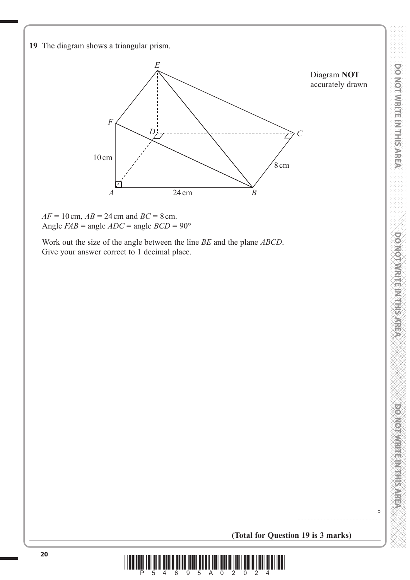



 Work out the size of the angle between the line *BE* and the plane *ABCD*. Give your answer correct to 1 decimal place.

 $\circ$ 

**(Total for Question 19 is 3 marks)**

.......................................................

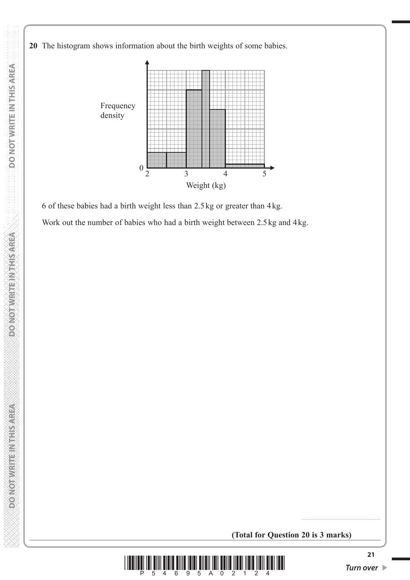**20** The histogram shows information about the birth weights of some babies.



 6 of these babies had a birth weight less than 2.5 kg or greater than 4 kg. Work out the number of babies who had a birth weight between 2.5 kg and 4 kg.

**(Total for Question 20 is 3 marks)**



*Turn over* 

.......................................................

**PONOTHER ETHERNOLOGIC**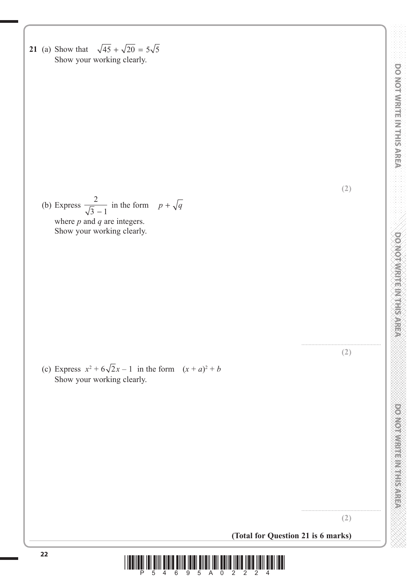**21** (a) Show that  $\sqrt{45} + \sqrt{20} = 5\sqrt{5}$ Show your working clearly.

**(2)**

**DO NOT WRITE IN THIS AREA DO NOT WRITE IN THIS AREA DO NOT WRITE IN THIS AREA DO NOT WRITE IN THIS AREA DO NOT WRITE IN THIS AREA DO NOT WRITE IN THIS AREA DO NOT WRITE IN THIS AREA DO NOT WRITE IN THIS AREA DO NOT WRITE** 

**DO NOT WRITER WARRER** 

**DOOMORWEITERINGSAREA** 

DO NOT WRITE IN THIS AREA

(b) Express  $\frac{2}{\sqrt{2}}$  $\frac{2}{3}$  in the form  $p + \sqrt{q}$  where *p* and *q* are integers. Show your working clearly.

(c) Express  $x^2 + 6\sqrt{2x - 1}$  in the form  $(x + a)^2 + b$ Show your working clearly.



....................................................... **(2)**

**(Total for Question 21 is 6 marks)**

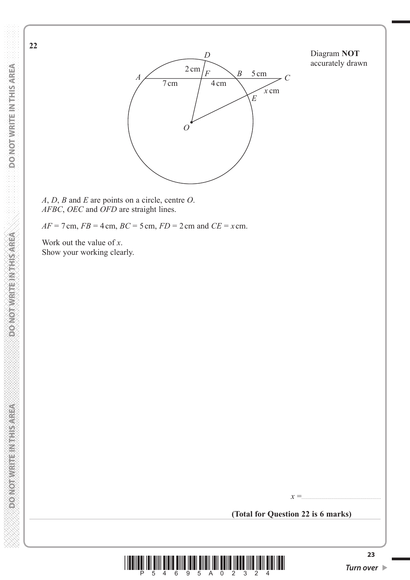**22**

*O*  $\frac{2 \text{ cm}}{F}$  *B* 5 cm *C D E F*  $7 \text{ cm}$   $/$  4 cm *x* cm

Diagram **NOT** accurately drawn

*A*, *D*, *B* and *E* are points on a circle, centre *O*. *AFBC*, *OEC* and *OFD* are straight lines.

 $AF = 7$  cm,  $FB = 4$  cm,  $BC = 5$  cm,  $FD = 2$  cm and  $CE = x$  cm.

*A*

 Work out the value of *x*. Show your working clearly.

**(Total for Question 22 is 6 marks)**

*x* =.......................................................



*Turn over*